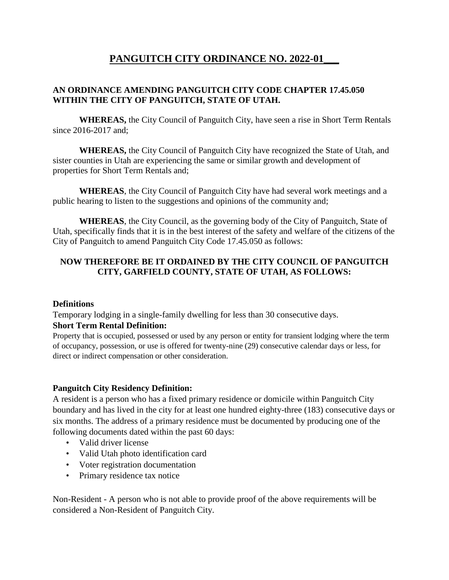# **PANGUITCH CITY ORDINANCE NO. 2022-01\_\_\_**

# **AN ORDINANCE AMENDING PANGUITCH CITY CODE CHAPTER 17.45.050 WITHIN THE CITY OF PANGUITCH, STATE OF UTAH.**

**WHEREAS,** the City Council of Panguitch City, have seen a rise in Short Term Rentals since 2016-2017 and;

**WHEREAS,** the City Council of Panguitch City have recognized the State of Utah, and sister counties in Utah are experiencing the same or similar growth and development of properties for Short Term Rentals and;

**WHEREAS**, the City Council of Panguitch City have had several work meetings and a public hearing to listen to the suggestions and opinions of the community and;

**WHEREAS**, the City Council, as the governing body of the City of Panguitch, State of Utah, specifically finds that it is in the best interest of the safety and welfare of the citizens of the City of Panguitch to amend Panguitch City Code 17.45.050 as follows:

# **NOW THEREFORE BE IT ORDAINED BY THE CITY COUNCIL OF PANGUITCH CITY, GARFIELD COUNTY, STATE OF UTAH, AS FOLLOWS:**

#### **Definitions**

Temporary lodging in a single-family dwelling for less than 30 consecutive days.

#### **Short Term Rental Definition:**

Property that is occupied, possessed or used by any person or entity for transient lodging where the term of occupancy, possession, or use is offered for twenty-nine (29) consecutive calendar days or less, for direct or indirect compensation or other consideration.

# **Panguitch City Residency Definition:**

A resident is a person who has a fixed primary residence or domicile within Panguitch City boundary and has lived in the city for at least one hundred eighty-three (183) consecutive days or six months. The address of a primary residence must be documented by producing one of the following documents dated within the past 60 days:

- Valid driver license
- Valid Utah photo identification card
- Voter registration documentation
- Primary residence tax notice

Non-Resident - A person who is not able to provide proof of the above requirements will be considered a Non-Resident of Panguitch City.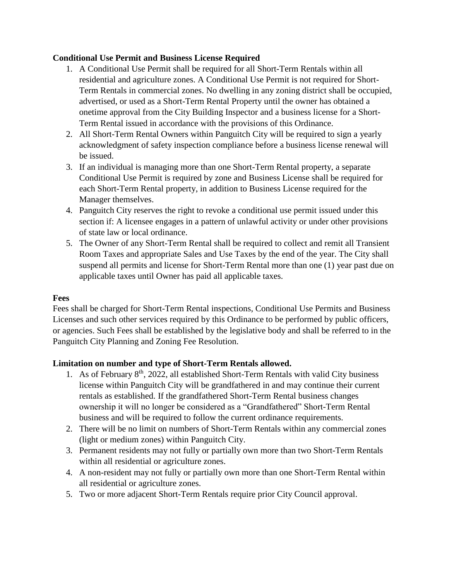# **Conditional Use Permit and Business License Required**

- 1. A Conditional Use Permit shall be required for all Short-Term Rentals within all residential and agriculture zones. A Conditional Use Permit is not required for Short-Term Rentals in commercial zones. No dwelling in any zoning district shall be occupied, advertised, or used as a Short-Term Rental Property until the owner has obtained a onetime approval from the City Building Inspector and a business license for a Short-Term Rental issued in accordance with the provisions of this Ordinance.
- 2. All Short-Term Rental Owners within Panguitch City will be required to sign a yearly acknowledgment of safety inspection compliance before a business license renewal will be issued.
- 3. If an individual is managing more than one Short-Term Rental property, a separate Conditional Use Permit is required by zone and Business License shall be required for each Short-Term Rental property, in addition to Business License required for the Manager themselves.
- 4. Panguitch City reserves the right to revoke a conditional use permit issued under this section if: A licensee engages in a pattern of unlawful activity or under other provisions of state law or local ordinance.
- 5. The Owner of any Short-Term Rental shall be required to collect and remit all Transient Room Taxes and appropriate Sales and Use Taxes by the end of the year. The City shall suspend all permits and license for Short-Term Rental more than one (1) year past due on applicable taxes until Owner has paid all applicable taxes.

# **Fees**

Fees shall be charged for Short-Term Rental inspections, Conditional Use Permits and Business Licenses and such other services required by this Ordinance to be performed by public officers, or agencies. Such Fees shall be established by the legislative body and shall be referred to in the Panguitch City Planning and Zoning Fee Resolution.

# **Limitation on number and type of Short-Term Rentals allowed.**

- 1. As of February 8<sup>th</sup>, 2022, all established Short-Term Rentals with valid City business license within Panguitch City will be grandfathered in and may continue their current rentals as established. If the grandfathered Short-Term Rental business changes ownership it will no longer be considered as a "Grandfathered" Short-Term Rental business and will be required to follow the current ordinance requirements.
- 2. There will be no limit on numbers of Short-Term Rentals within any commercial zones (light or medium zones) within Panguitch City.
- 3. Permanent residents may not fully or partially own more than two Short-Term Rentals within all residential or agriculture zones.
- 4. A non-resident may not fully or partially own more than one Short-Term Rental within all residential or agriculture zones.
- 5. Two or more adjacent Short-Term Rentals require prior City Council approval.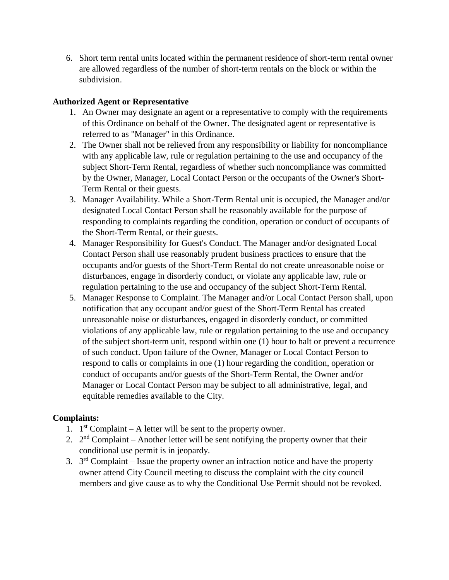6. Short term rental units located within the permanent residence of short-term rental owner are allowed regardless of the number of short-term rentals on the block or within the subdivision.

# **Authorized Agent or Representative**

- 1. An Owner may designate an agent or a representative to comply with the requirements of this Ordinance on behalf of the Owner. The designated agent or representative is referred to as "Manager" in this Ordinance.
- 2. The Owner shall not be relieved from any responsibility or liability for noncompliance with any applicable law, rule or regulation pertaining to the use and occupancy of the subject Short-Term Rental, regardless of whether such noncompliance was committed by the Owner, Manager, Local Contact Person or the occupants of the Owner's Short-Term Rental or their guests.
- 3. Manager Availability. While a Short-Term Rental unit is occupied, the Manager and/or designated Local Contact Person shall be reasonably available for the purpose of responding to complaints regarding the condition, operation or conduct of occupants of the Short-Term Rental, or their guests.
- 4. Manager Responsibility for Guest's Conduct. The Manager and/or designated Local Contact Person shall use reasonably prudent business practices to ensure that the occupants and/or guests of the Short-Term Rental do not create unreasonable noise or disturbances, engage in disorderly conduct, or violate any applicable law, rule or regulation pertaining to the use and occupancy of the subject Short-Term Rental.
- 5. Manager Response to Complaint. The Manager and/or Local Contact Person shall, upon notification that any occupant and/or guest of the Short-Term Rental has created unreasonable noise or disturbances, engaged in disorderly conduct, or committed violations of any applicable law, rule or regulation pertaining to the use and occupancy of the subject short-term unit, respond within one (1) hour to halt or prevent a recurrence of such conduct. Upon failure of the Owner, Manager or Local Contact Person to respond to calls or complaints in one (1) hour regarding the condition, operation or conduct of occupants and/or guests of the Short-Term Rental, the Owner and/or Manager or Local Contact Person may be subject to all administrative, legal, and equitable remedies available to the City.

# **Complaints:**

- 1.  $1<sup>st</sup>$  Complaint A letter will be sent to the property owner.
- 2.  $2<sup>nd</sup>$  Complaint Another letter will be sent notifying the property owner that their conditional use permit is in jeopardy.
- 3.  $3<sup>rd</sup>$  Complaint Issue the property owner an infraction notice and have the property owner attend City Council meeting to discuss the complaint with the city council members and give cause as to why the Conditional Use Permit should not be revoked.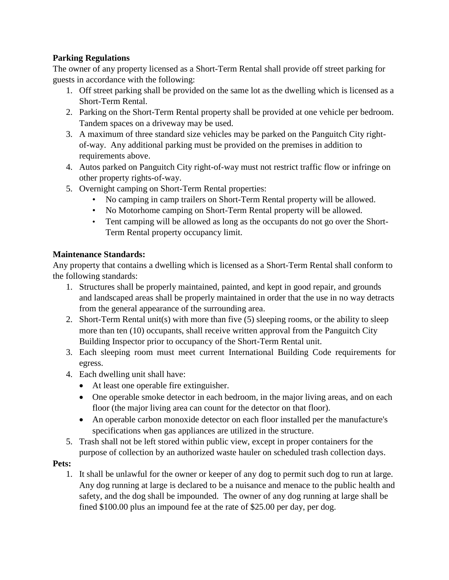# **Parking Regulations**

The owner of any property licensed as a Short-Term Rental shall provide off street parking for guests in accordance with the following:

- 1. Off street parking shall be provided on the same lot as the dwelling which is licensed as a Short-Term Rental.
- 2. Parking on the Short-Term Rental property shall be provided at one vehicle per bedroom. Tandem spaces on a driveway may be used.
- 3. A maximum of three standard size vehicles may be parked on the Panguitch City rightof-way. Any additional parking must be provided on the premises in addition to requirements above.
- 4. Autos parked on Panguitch City right-of-way must not restrict traffic flow or infringe on other property rights-of-way.
- 5. Overnight camping on Short-Term Rental properties:
	- No camping in camp trailers on Short-Term Rental property will be allowed.
	- No Motorhome camping on Short-Term Rental property will be allowed.
	- Tent camping will be allowed as long as the occupants do not go over the Short-Term Rental property occupancy limit.

# **Maintenance Standards:**

Any property that contains a dwelling which is licensed as a Short-Term Rental shall conform to the following standards:

- 1. Structures shall be properly maintained, painted, and kept in good repair, and grounds and landscaped areas shall be properly maintained in order that the use in no way detracts from the general appearance of the surrounding area.
- 2. Short-Term Rental unit(s) with more than five (5) sleeping rooms, or the ability to sleep more than ten (10) occupants, shall receive written approval from the Panguitch City Building Inspector prior to occupancy of the Short-Term Rental unit.
- 3. Each sleeping room must meet current International Building Code requirements for egress.
- 4. Each dwelling unit shall have:
	- At least one operable fire extinguisher.
	- One operable smoke detector in each bedroom, in the major living areas, and on each floor (the major living area can count for the detector on that floor).
	- An operable carbon monoxide detector on each floor installed per the manufacture's specifications when gas appliances are utilized in the structure.
- 5. Trash shall not be left stored within public view, except in proper containers for the purpose of collection by an authorized waste hauler on scheduled trash collection days.

# **Pets:**

1. It shall be unlawful for the owner or keeper of any dog to permit such dog to run at large. Any dog running at large is declared to be a nuisance and menace to the public health and safety, and the dog shall be impounded. The owner of any dog running at large shall be fined \$100.00 plus an impound fee at the rate of \$25.00 per day, per dog.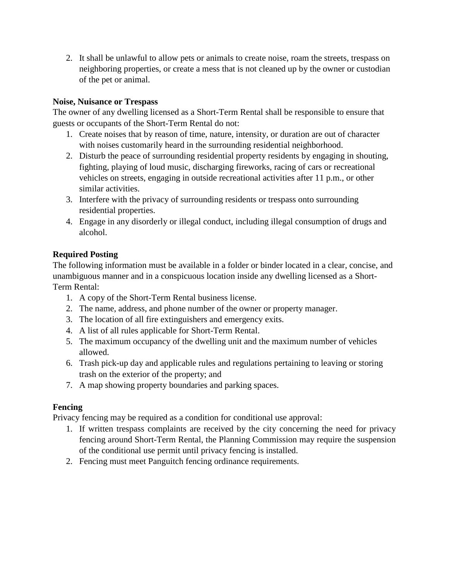2. It shall be unlawful to allow pets or animals to create noise, roam the streets, trespass on neighboring properties, or create a mess that is not cleaned up by the owner or custodian of the pet or animal.

# **Noise, Nuisance or Trespass**

The owner of any dwelling licensed as a Short-Term Rental shall be responsible to ensure that guests or occupants of the Short-Term Rental do not:

- 1. Create noises that by reason of time, nature, intensity, or duration are out of character with noises customarily heard in the surrounding residential neighborhood.
- 2. Disturb the peace of surrounding residential property residents by engaging in shouting, fighting, playing of loud music, discharging fireworks, racing of cars or recreational vehicles on streets, engaging in outside recreational activities after 11 p.m., or other similar activities.
- 3. Interfere with the privacy of surrounding residents or trespass onto surrounding residential properties.
- 4. Engage in any disorderly or illegal conduct, including illegal consumption of drugs and alcohol.

# **Required Posting**

The following information must be available in a folder or binder located in a clear, concise, and unambiguous manner and in a conspicuous location inside any dwelling licensed as a Short-Term Rental:

- 1. A copy of the Short-Term Rental business license.
- 2. The name, address, and phone number of the owner or property manager.
- 3. The location of all fire extinguishers and emergency exits.
- 4. A list of all rules applicable for Short-Term Rental.
- 5. The maximum occupancy of the dwelling unit and the maximum number of vehicles allowed.
- 6. Trash pick-up day and applicable rules and regulations pertaining to leaving or storing trash on the exterior of the property; and
- 7. A map showing property boundaries and parking spaces.

# **Fencing**

Privacy fencing may be required as a condition for conditional use approval:

- 1. If written trespass complaints are received by the city concerning the need for privacy fencing around Short-Term Rental, the Planning Commission may require the suspension of the conditional use permit until privacy fencing is installed.
- 2. Fencing must meet Panguitch fencing ordinance requirements.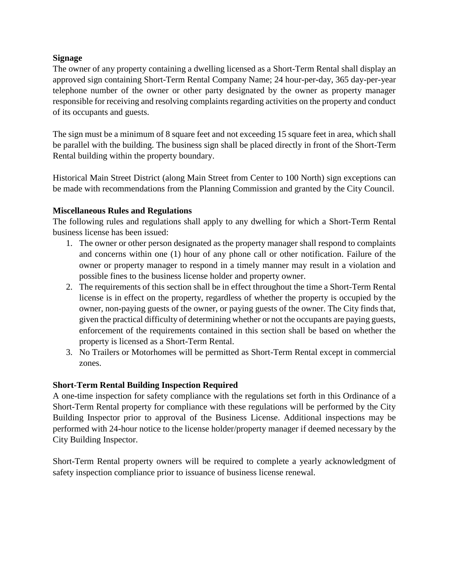### **Signage**

The owner of any property containing a dwelling licensed as a Short-Term Rental shall display an approved sign containing Short-Term Rental Company Name; 24 hour-per-day, 365 day-per-year telephone number of the owner or other party designated by the owner as property manager responsible for receiving and resolving complaints regarding activities on the property and conduct of its occupants and guests.

The sign must be a minimum of 8 square feet and not exceeding 15 square feet in area, which shall be parallel with the building. The business sign shall be placed directly in front of the Short-Term Rental building within the property boundary.

Historical Main Street District (along Main Street from Center to 100 North) sign exceptions can be made with recommendations from the Planning Commission and granted by the City Council.

### **Miscellaneous Rules and Regulations**

The following rules and regulations shall apply to any dwelling for which a Short-Term Rental business license has been issued:

- 1. The owner or other person designated as the property manager shall respond to complaints and concerns within one (1) hour of any phone call or other notification. Failure of the owner or property manager to respond in a timely manner may result in a violation and possible fines to the business license holder and property owner.
- 2. The requirements of this section shall be in effect throughout the time a Short-Term Rental license is in effect on the property, regardless of whether the property is occupied by the owner, non-paying guests of the owner, or paying guests of the owner. The City finds that, given the practical difficulty of determining whether or not the occupants are paying guests, enforcement of the requirements contained in this section shall be based on whether the property is licensed as a Short-Term Rental.
- 3. No Trailers or Motorhomes will be permitted as Short-Term Rental except in commercial zones.

# **Short-Term Rental Building Inspection Required**

A one-time inspection for safety compliance with the regulations set forth in this Ordinance of a Short-Term Rental property for compliance with these regulations will be performed by the City Building Inspector prior to approval of the Business License. Additional inspections may be performed with 24-hour notice to the license holder/property manager if deemed necessary by the City Building Inspector.

Short-Term Rental property owners will be required to complete a yearly acknowledgment of safety inspection compliance prior to issuance of business license renewal.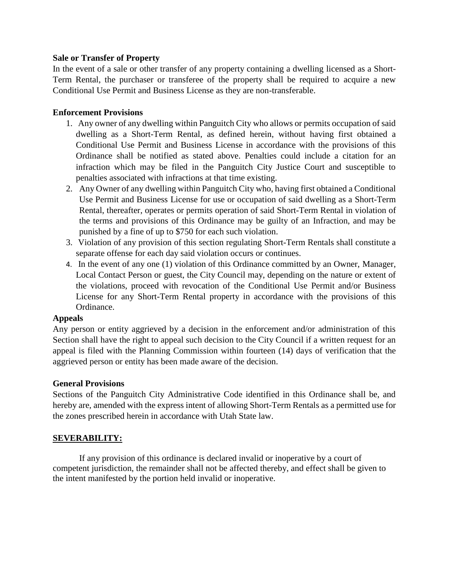#### **Sale or Transfer of Property**

In the event of a sale or other transfer of any property containing a dwelling licensed as a Short-Term Rental, the purchaser or transferee of the property shall be required to acquire a new Conditional Use Permit and Business License as they are non-transferable.

### **Enforcement Provisions**

- 1. Any owner of any dwelling within Panguitch City who allows or permits occupation of said dwelling as a Short-Term Rental, as defined herein, without having first obtained a Conditional Use Permit and Business License in accordance with the provisions of this Ordinance shall be notified as stated above. Penalties could include a citation for an infraction which may be filed in the Panguitch City Justice Court and susceptible to penalties associated with infractions at that time existing.
- 2. Any Owner of any dwelling within Panguitch City who, having first obtained a Conditional Use Permit and Business License for use or occupation of said dwelling as a Short-Term Rental, thereafter, operates or permits operation of said Short-Term Rental in violation of the terms and provisions of this Ordinance may be guilty of an Infraction, and may be punished by a fine of up to \$750 for each such violation.
- 3. Violation of any provision of this section regulating Short-Term Rentals shall constitute a separate offense for each day said violation occurs or continues.
- 4. In the event of any one (1) violation of this Ordinance committed by an Owner, Manager, Local Contact Person or guest, the City Council may, depending on the nature or extent of the violations, proceed with revocation of the Conditional Use Permit and/or Business License for any Short-Term Rental property in accordance with the provisions of this Ordinance.

# **Appeals**

Any person or entity aggrieved by a decision in the enforcement and/or administration of this Section shall have the right to appeal such decision to the City Council if a written request for an appeal is filed with the Planning Commission within fourteen (14) days of verification that the aggrieved person or entity has been made aware of the decision.

# **General Provisions**

Sections of the Panguitch City Administrative Code identified in this Ordinance shall be, and hereby are, amended with the express intent of allowing Short-Term Rentals as a permitted use for the zones prescribed herein in accordance with Utah State law.

# **SEVERABILITY:**

If any provision of this ordinance is declared invalid or inoperative by a court of competent jurisdiction, the remainder shall not be affected thereby, and effect shall be given to the intent manifested by the portion held invalid or inoperative.